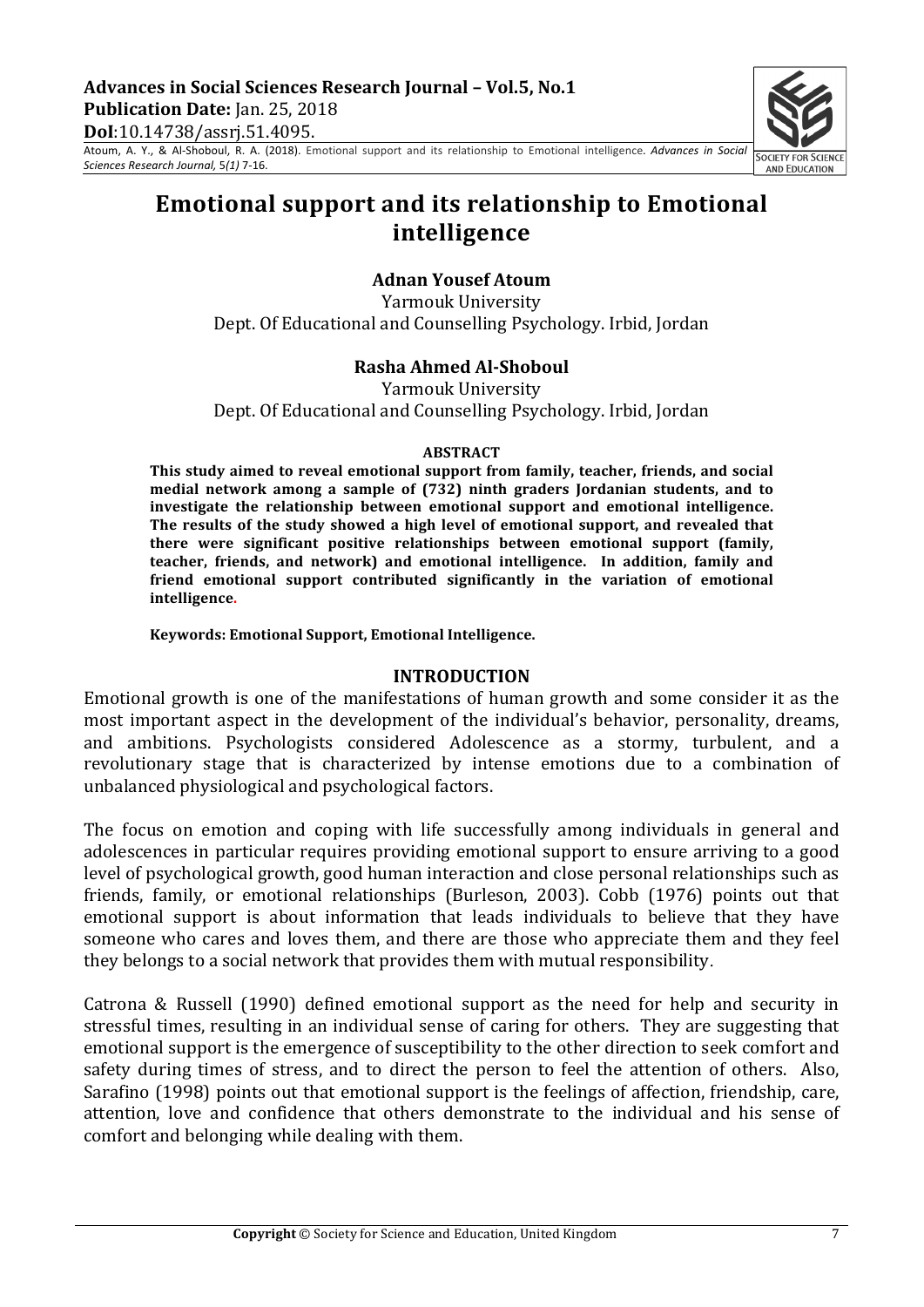Advances in Social Sciences Research Journal - Vol.5, No.1 **Publication Date:** Jan. 25, 2018 **DoI**:10.14738/assrj.51.4095.

Atoum, A. Y., & Al-Shoboul, R. A. (2018). Emotional support and its relationship to Emotional intelligence. *Advances in Social Sciences Research Journal,* 5*(1)* 7-16.



# **Emotional support and its relationship to Emotional intelligence**

### **Adnan Yousef Atoum**

Yarmouk University Dept. Of Educational and Counselling Psychology. Irbid, Jordan

### **Rasha Ahmed Al-Shoboul**

Yarmouk University Dept. Of Educational and Counselling Psychology. Irbid, Jordan

#### **ABSTRACT**

This study aimed to reveal emotional support from family, teacher, friends, and social **medial network among a sample of (732) ninth graders Jordanian students, and to** investigate the relationship between emotional support and emotional intelligence. **The results of the study showed a high level of emotional support, and revealed that there** were significant positive relationships between emotional support (family, **teacher, friends, and network) and emotional intelligence. In addition, family and** friend emotional support contributed significantly in the variation of emotional **intelligence.**

Keywords: Emotional Support, Emotional Intelligence.

#### **INTRODUCTION**

Emotional growth is one of the manifestations of human growth and some consider it as the most important aspect in the development of the individual's behavior, personality, dreams, and ambitions. Psychologists considered Adolescence as a stormy, turbulent, and a revolutionary stage that is characterized by intense emotions due to a combination of unbalanced physiological and psychological factors.

The focus on emotion and coping with life successfully among individuals in general and adolescences in particular requires providing emotional support to ensure arriving to a good level of psychological growth, good human interaction and close personal relationships such as friends, family, or emotional relationships (Burleson, 2003). Cobb (1976) points out that emotional support is about information that leads individuals to believe that they have someone who cares and loves them, and there are those who appreciate them and they feel they belongs to a social network that provides them with mutual responsibility.

Catrona & Russell (1990) defined emotional support as the need for help and security in stressful times, resulting in an individual sense of caring for others. They are suggesting that emotional support is the emergence of susceptibility to the other direction to seek comfort and safety during times of stress, and to direct the person to feel the attention of others. Also, Sarafino (1998) points out that emotional support is the feelings of affection, friendship, care, attention, love and confidence that others demonstrate to the individual and his sense of comfort and belonging while dealing with them.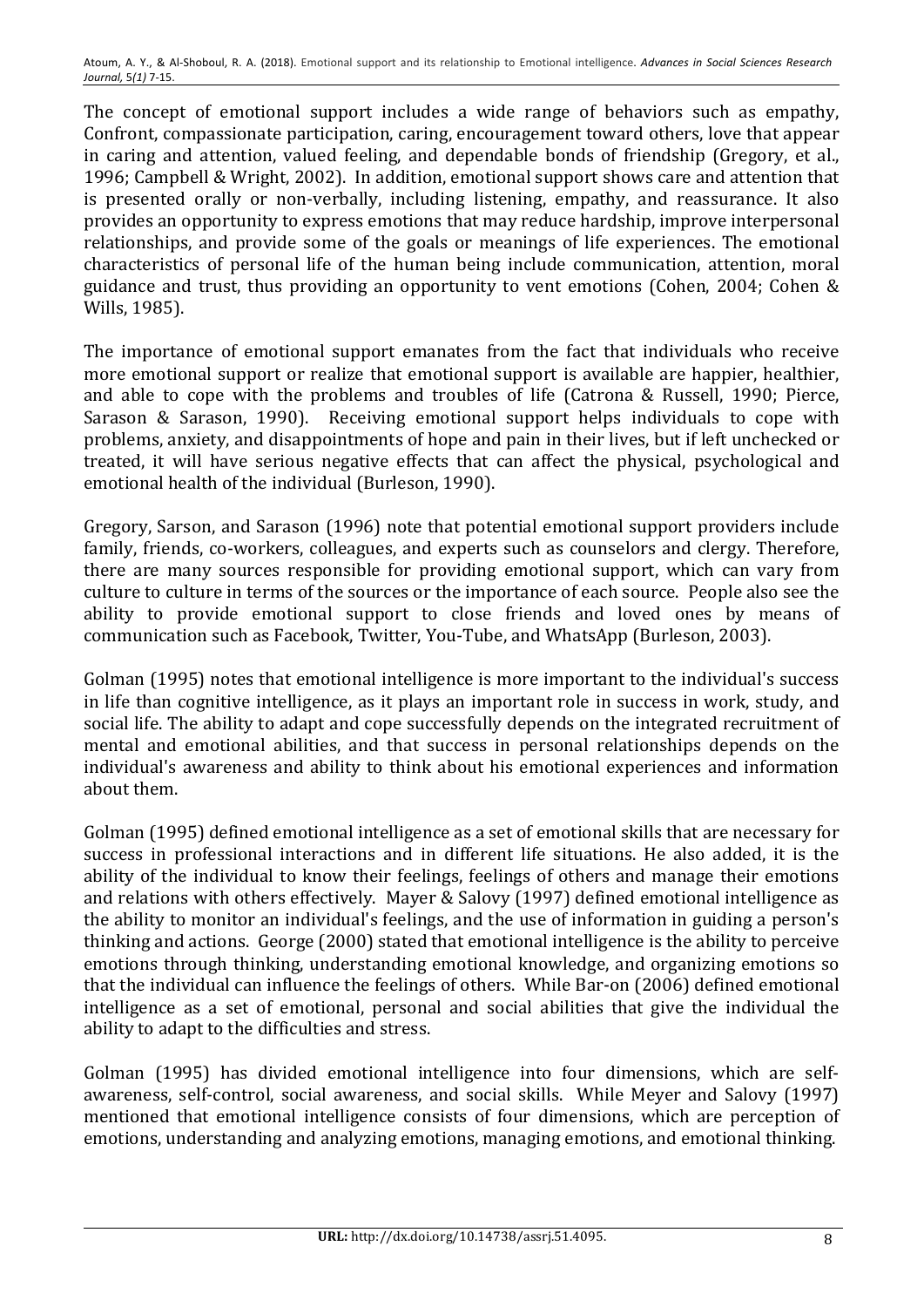The concept of emotional support includes a wide range of behaviors such as empathy, Confront, compassionate participation, caring, encouragement toward others, love that appear in caring and attention, valued feeling, and dependable bonds of friendship (Gregory, et al., 1996; Campbell & Wright, 2002). In addition, emotional support shows care and attention that is presented orally or non-verbally, including listening, empathy, and reassurance. It also provides an opportunity to express emotions that may reduce hardship, improve interpersonal relationships, and provide some of the goals or meanings of life experiences. The emotional characteristics of personal life of the human being include communication, attention, moral guidance and trust, thus providing an opportunity to vent emotions (Cohen, 2004; Cohen & Wills, 1985).

The importance of emotional support emanates from the fact that individuals who receive more emotional support or realize that emotional support is available are happier, healthier, and able to cope with the problems and troubles of life (Catrona & Russell, 1990; Pierce, Sarason & Sarason, 1990). Receiving emotional support helps individuals to cope with problems, anxiety, and disappointments of hope and pain in their lives, but if left unchecked or treated, it will have serious negative effects that can affect the physical, psychological and emotional health of the individual (Burleson, 1990).

Gregory, Sarson, and Sarason (1996) note that potential emotional support providers include family, friends, co-workers, colleagues, and experts such as counselors and clergy. Therefore, there are many sources responsible for providing emotional support, which can vary from culture to culture in terms of the sources or the importance of each source. People also see the ability to provide emotional support to close friends and loved ones by means of communication such as Facebook, Twitter, You-Tube, and WhatsApp (Burleson, 2003).

Golman (1995) notes that emotional intelligence is more important to the individual's success in life than cognitive intelligence, as it plays an important role in success in work, study, and social life. The ability to adapt and cope successfully depends on the integrated recruitment of mental and emotional abilities, and that success in personal relationships depends on the individual's awareness and ability to think about his emotional experiences and information about them.

Golman (1995) defined emotional intelligence as a set of emotional skills that are necessary for success in professional interactions and in different life situations. He also added, it is the ability of the individual to know their feelings, feelings of others and manage their emotions and relations with others effectively. Mayer & Salovy (1997) defined emotional intelligence as the ability to monitor an individual's feelings, and the use of information in guiding a person's thinking and actions. George (2000) stated that emotional intelligence is the ability to perceive emotions through thinking, understanding emotional knowledge, and organizing emotions so that the individual can influence the feelings of others. While Bar-on (2006) defined emotional intelligence as a set of emotional, personal and social abilities that give the individual the ability to adapt to the difficulties and stress.

Golman (1995) has divided emotional intelligence into four dimensions, which are selfawareness, self-control, social awareness, and social skills. While Meyer and Salovy (1997) mentioned that emotional intelligence consists of four dimensions, which are perception of emotions, understanding and analyzing emotions, managing emotions, and emotional thinking.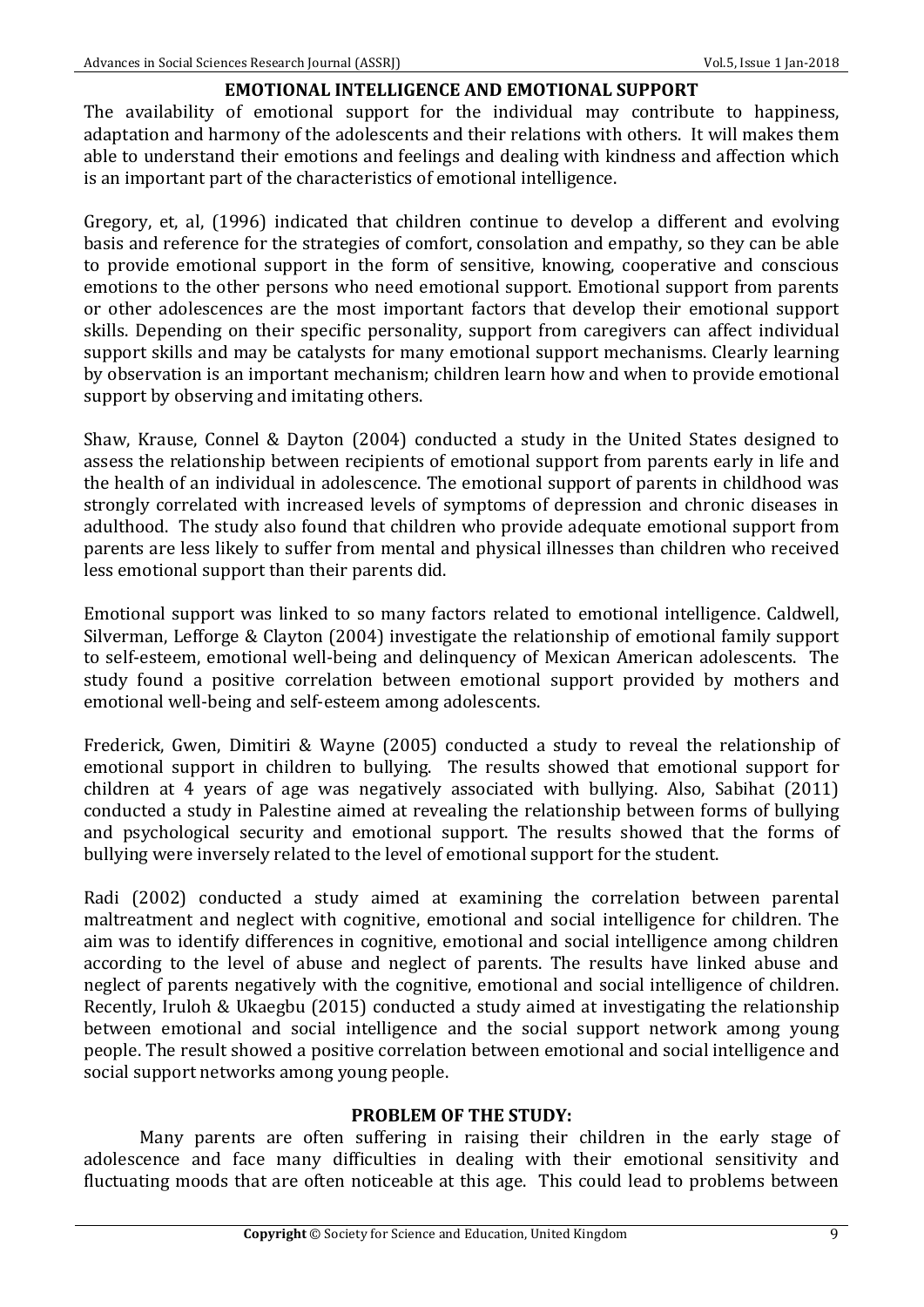### **EMOTIONAL INTELLIGENCE AND EMOTIONAL SUPPORT**

The availability of emotional support for the individual may contribute to happiness, adaptation and harmony of the adolescents and their relations with others. It will makes them able to understand their emotions and feelings and dealing with kindness and affection which is an important part of the characteristics of emotional intelligence.

Gregory, et, al, (1996) indicated that children continue to develop a different and evolving basis and reference for the strategies of comfort, consolation and empathy, so they can be able to provide emotional support in the form of sensitive, knowing, cooperative and conscious emotions to the other persons who need emotional support. Emotional support from parents or other adolescences are the most important factors that develop their emotional support skills. Depending on their specific personality, support from caregivers can affect individual support skills and may be catalysts for many emotional support mechanisms. Clearly learning by observation is an important mechanism; children learn how and when to provide emotional support by observing and imitating others.

Shaw, Krause, Connel & Dayton (2004) conducted a study in the United States designed to assess the relationship between recipients of emotional support from parents early in life and the health of an individual in adolescence. The emotional support of parents in childhood was strongly correlated with increased levels of symptoms of depression and chronic diseases in adulthood. The study also found that children who provide adequate emotional support from parents are less likely to suffer from mental and physical illnesses than children who received less emotional support than their parents did.

Emotional support was linked to so many factors related to emotional intelligence. Caldwell, Silverman, Lefforge & Clayton  $(2004)$  investigate the relationship of emotional family support to self-esteem, emotional well-being and delinquency of Mexican American adolescents. The study found a positive correlation between emotional support provided by mothers and emotional well-being and self-esteem among adolescents.

Frederick, Gwen, Dimitiri & Wayne (2005) conducted a study to reveal the relationship of emotional support in children to bullying. The results showed that emotional support for children at 4 years of age was negatively associated with bullying. Also, Sabihat (2011) conducted a study in Palestine aimed at revealing the relationship between forms of bullying and psychological security and emotional support. The results showed that the forms of bullying were inversely related to the level of emotional support for the student.

Radi (2002) conducted a study aimed at examining the correlation between parental maltreatment and neglect with cognitive, emotional and social intelligence for children. The aim was to identify differences in cognitive, emotional and social intelligence among children according to the level of abuse and neglect of parents. The results have linked abuse and neglect of parents negatively with the cognitive, emotional and social intelligence of children. Recently, Iruloh & Ukaegbu (2015) conducted a study aimed at investigating the relationship between emotional and social intelligence and the social support network among voung people. The result showed a positive correlation between emotional and social intelligence and social support networks among young people.

#### **PROBLEM OF THE STUDY:**

Many parents are often suffering in raising their children in the early stage of adolescence and face many difficulties in dealing with their emotional sensitivity and fluctuating moods that are often noticeable at this age. This could lead to problems between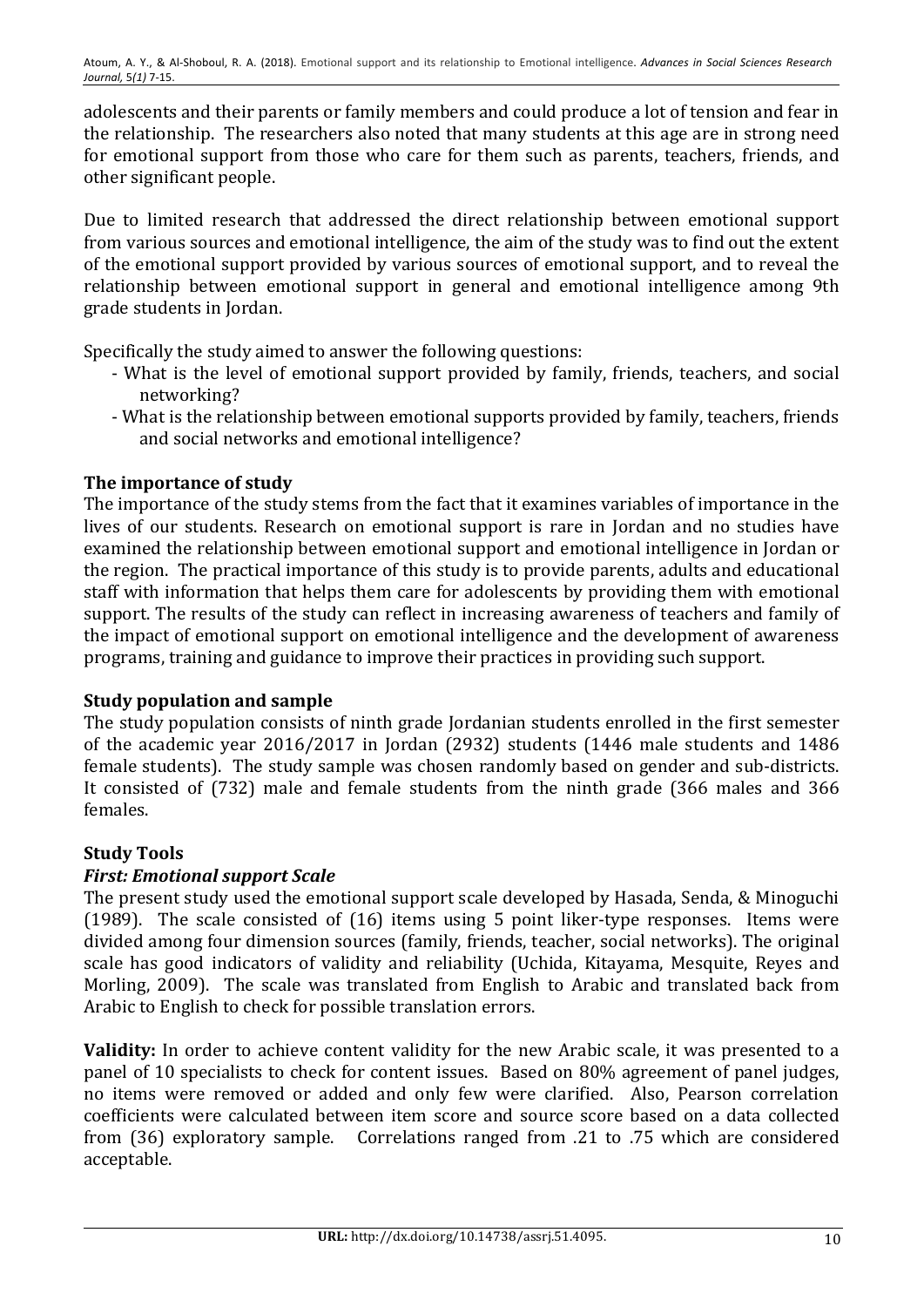adolescents and their parents or family members and could produce a lot of tension and fear in the relationship. The researchers also noted that many students at this age are in strong need for emotional support from those who care for them such as parents, teachers, friends, and other significant people.

Due to limited research that addressed the direct relationship between emotional support from various sources and emotional intelligence, the aim of the study was to find out the extent of the emotional support provided by various sources of emotional support, and to reveal the relationship between emotional support in general and emotional intelligence among 9th grade students in Jordan.

Specifically the study aimed to answer the following questions:

- What is the level of emotional support provided by family, friends, teachers, and social networking?
- What is the relationship between emotional supports provided by family, teachers, friends and social networks and emotional intelligence?

# **The importance of study**

The importance of the study stems from the fact that it examines variables of importance in the lives of our students. Research on emotional support is rare in Jordan and no studies have examined the relationship between emotional support and emotional intelligence in Jordan or the region. The practical importance of this study is to provide parents, adults and educational staff with information that helps them care for adolescents by providing them with emotional support. The results of the study can reflect in increasing awareness of teachers and family of the impact of emotional support on emotional intelligence and the development of awareness programs, training and guidance to improve their practices in providing such support.

# **Study population and sample**

The study population consists of ninth grade Jordanian students enrolled in the first semester of the academic year 2016/2017 in Jordan (2932) students (1446 male students and 1486 female students). The study sample was chosen randomly based on gender and sub-districts. It consisted of (732) male and female students from the ninth grade (366 males and 366 females. 

# **Study Tools**

# *First: Emotional support Scale*

The present study used the emotional support scale developed by Hasada, Senda, & Minoguchi (1989). The scale consisted of  $(16)$  items using 5 point liker-type responses. Items were divided among four dimension sources (family, friends, teacher, social networks). The original scale has good indicators of validity and reliability (Uchida, Kitayama, Mesquite, Reyes and Morling, 2009). The scale was translated from English to Arabic and translated back from Arabic to English to check for possible translation errors.

**Validity:** In order to achieve content validity for the new Arabic scale, it was presented to a panel of 10 specialists to check for content issues. Based on 80% agreement of panel judges, no items were removed or added and only few were clarified. Also, Pearson correlation coefficients were calculated between item score and source score based on a data collected from  $(36)$  exploratory sample. Correlations ranged from .21 to .75 which are considered acceptable.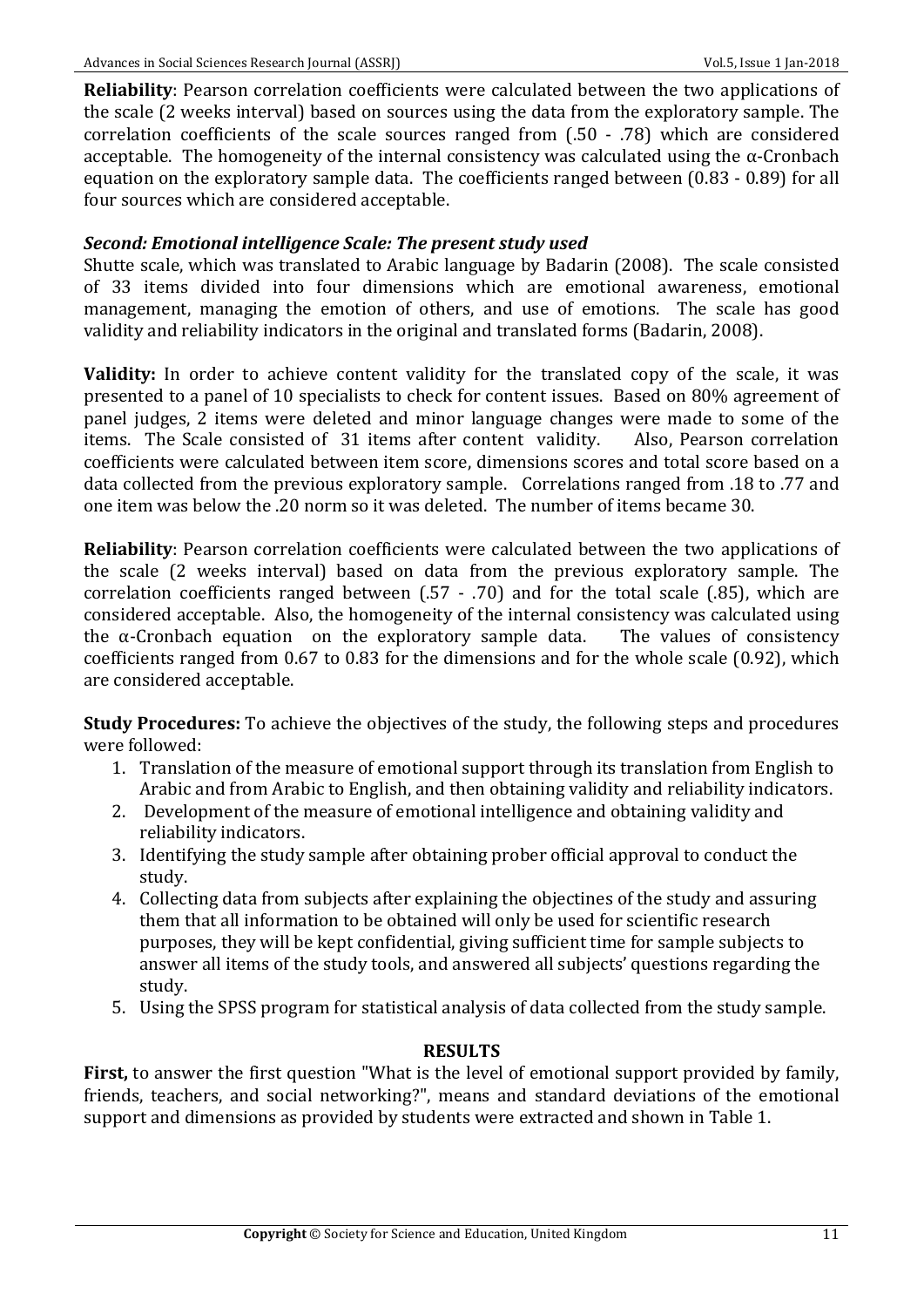**Reliability:** Pearson correlation coefficients were calculated between the two applications of the scale (2 weeks interval) based on sources using the data from the exploratory sample. The correlation coefficients of the scale sources ranged from  $(.50 - .78)$  which are considered acceptable. The homogeneity of the internal consistency was calculated using the  $\alpha$ -Cronbach equation on the exploratory sample data. The coefficients ranged between (0.83 - 0.89) for all four sources which are considered acceptable.

### *Second: Emotional intelligence Scale: The present study used*

Shutte scale, which was translated to Arabic language by Badarin (2008). The scale consisted of 33 items divided into four dimensions which are emotional awareness, emotional management, managing the emotion of others, and use of emotions. The scale has good validity and reliability indicators in the original and translated forms (Badarin, 2008).

**Validity:** In order to achieve content validity for the translated copy of the scale, it was presented to a panel of 10 specialists to check for content issues. Based on 80% agreement of panel judges, 2 items were deleted and minor language changes were made to some of the items. The Scale consisted of 31 items after content validity. Also, Pearson correlation coefficients were calculated between item score, dimensions scores and total score based on a data collected from the previous exploratory sample. Correlations ranged from .18 to .77 and one item was below the .20 norm so it was deleted. The number of items became 30.

**Reliability:** Pearson correlation coefficients were calculated between the two applications of the scale (2 weeks interval) based on data from the previous exploratory sample. The correlation coefficients ranged between  $(.57 - .70)$  and for the total scale  $(.85)$ , which are considered acceptable. Also, the homogeneity of the internal consistency was calculated using the  $\alpha$ -Cronbach equation on the exploratory sample data. The values of consistency coefficients ranged from  $0.67$  to  $0.83$  for the dimensions and for the whole scale  $(0.92)$ , which are considered acceptable.

**Study Procedures:** To achieve the objectives of the study, the following steps and procedures were followed:

- 1. Translation of the measure of emotional support through its translation from English to Arabic and from Arabic to English, and then obtaining validity and reliability indicators.
- 2. Development of the measure of emotional intelligence and obtaining validity and reliability indicators.
- 3. Identifying the study sample after obtaining prober official approval to conduct the study.
- 4. Collecting data from subjects after explaining the objectines of the study and assuring them that all information to be obtained will only be used for scientific research purposes, they will be kept confidential, giving sufficient time for sample subjects to answer all items of the study tools, and answered all subjects' questions regarding the study.
- 5. Using the SPSS program for statistical analysis of data collected from the study sample.

### **RESULTS**

**First,** to answer the first question "What is the level of emotional support provided by family, friends, teachers, and social networking?", means and standard deviations of the emotional support and dimensions as provided by students were extracted and shown in Table 1.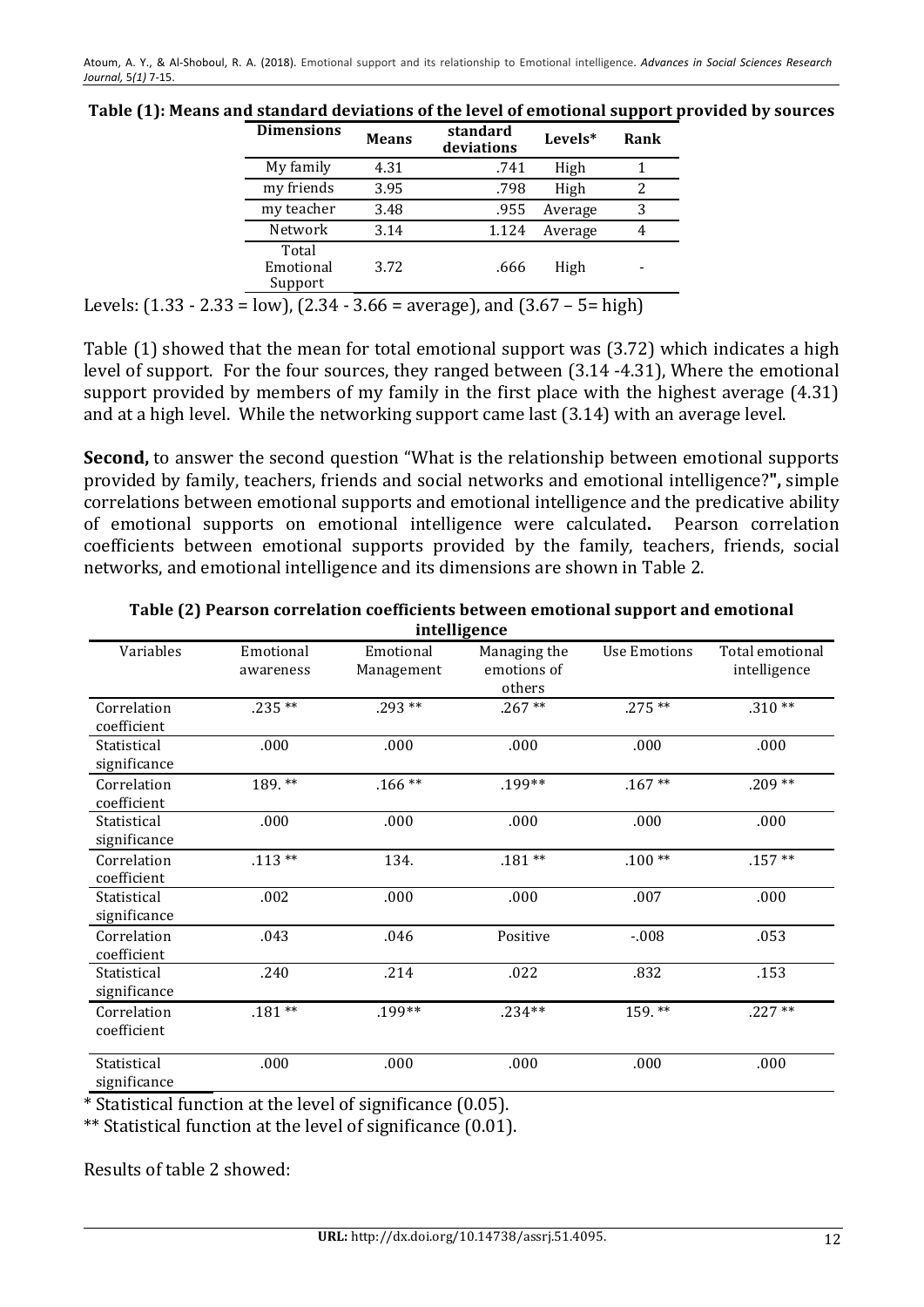|                                                                                     | <b>Dimensions</b>             | <b>Means</b> | standard<br>deviations | Levels* | Rank |  |
|-------------------------------------------------------------------------------------|-------------------------------|--------------|------------------------|---------|------|--|
|                                                                                     | My family                     | 4.31         | .741                   | High    |      |  |
|                                                                                     | my friends                    | 3.95         | .798                   | High    | 2    |  |
|                                                                                     | my teacher                    | 3.48         | .955                   | Average | 3    |  |
|                                                                                     | Network                       | 3.14         | 1.124                  | Average | 4    |  |
|                                                                                     | Total<br>Emotional<br>Support | 3.72         | .666                   | High    |      |  |
| Levels: $(1.33 - 2.33 = low)$ , $(2.34 - 3.66 = average)$ , and $(3.67 - 5 = high)$ |                               |              |                        |         |      |  |

Table (1): Means and standard deviations of the level of emotional support provided by sources

Table  $(1)$  showed that the mean for total emotional support was  $(3.72)$  which indicates a high level of support. For the four sources, they ranged between (3.14 -4.31), Where the emotional support provided by members of my family in the first place with the highest average  $(4.31)$ and at a high level. While the networking support came last  $(3.14)$  with an average level.

**Second,** to answer the second question "What is the relationship between emotional supports provided by family, teachers, friends and social networks and emotional intelligence?", simple correlations between emotional supports and emotional intelligence and the predicative ability of emotional supports on emotional intelligence were calculated. Pearson correlation coefficients between emotional supports provided by the family, teachers, friends, social networks, and emotional intelligence and its dimensions are shown in Table 2.

| intelligence                |                        |                         |                                       |              |                                 |  |  |  |
|-----------------------------|------------------------|-------------------------|---------------------------------------|--------------|---------------------------------|--|--|--|
| Variables                   | Emotional<br>awareness | Emotional<br>Management | Managing the<br>emotions of<br>others | Use Emotions | Total emotional<br>intelligence |  |  |  |
| Correlation<br>coefficient  | $.235**$               | $.293**$                | $.267**$                              | $.275**$     | $.310**$                        |  |  |  |
| Statistical<br>significance | .000                   | .000                    | .000                                  | .000         | .000                            |  |  |  |
| Correlation<br>coefficient  | 189.**                 | $.166**$                | .199**                                | $.167**$     | $.209**$                        |  |  |  |
| Statistical<br>significance | .000                   | .000                    | .000                                  | .000         | .000                            |  |  |  |
| Correlation<br>coefficient  | $.113**$               | 134.                    | $.181**$                              | $.100**$     | $.157**$                        |  |  |  |
| Statistical<br>significance | .002                   | .000                    | .000                                  | .007         | .000                            |  |  |  |
| Correlation<br>coefficient  | .043                   | .046                    | Positive                              | $-008$       | .053                            |  |  |  |
| Statistical<br>significance | .240                   | .214                    | .022                                  | .832         | .153                            |  |  |  |
| Correlation<br>coefficient  | $.181**$               | .199**                  | $.234**$                              | 159.**       | $.227**$                        |  |  |  |
| Statistical<br>significance | .000                   | .000                    | .000                                  | .000         | .000                            |  |  |  |

Table (2) Pearson correlation coefficients between emotional support and emotional **intelligence**

\* Statistical function at the level of significance (0.05).

\*\* Statistical function at the level of significance (0.01).

Results of table  $2$  showed: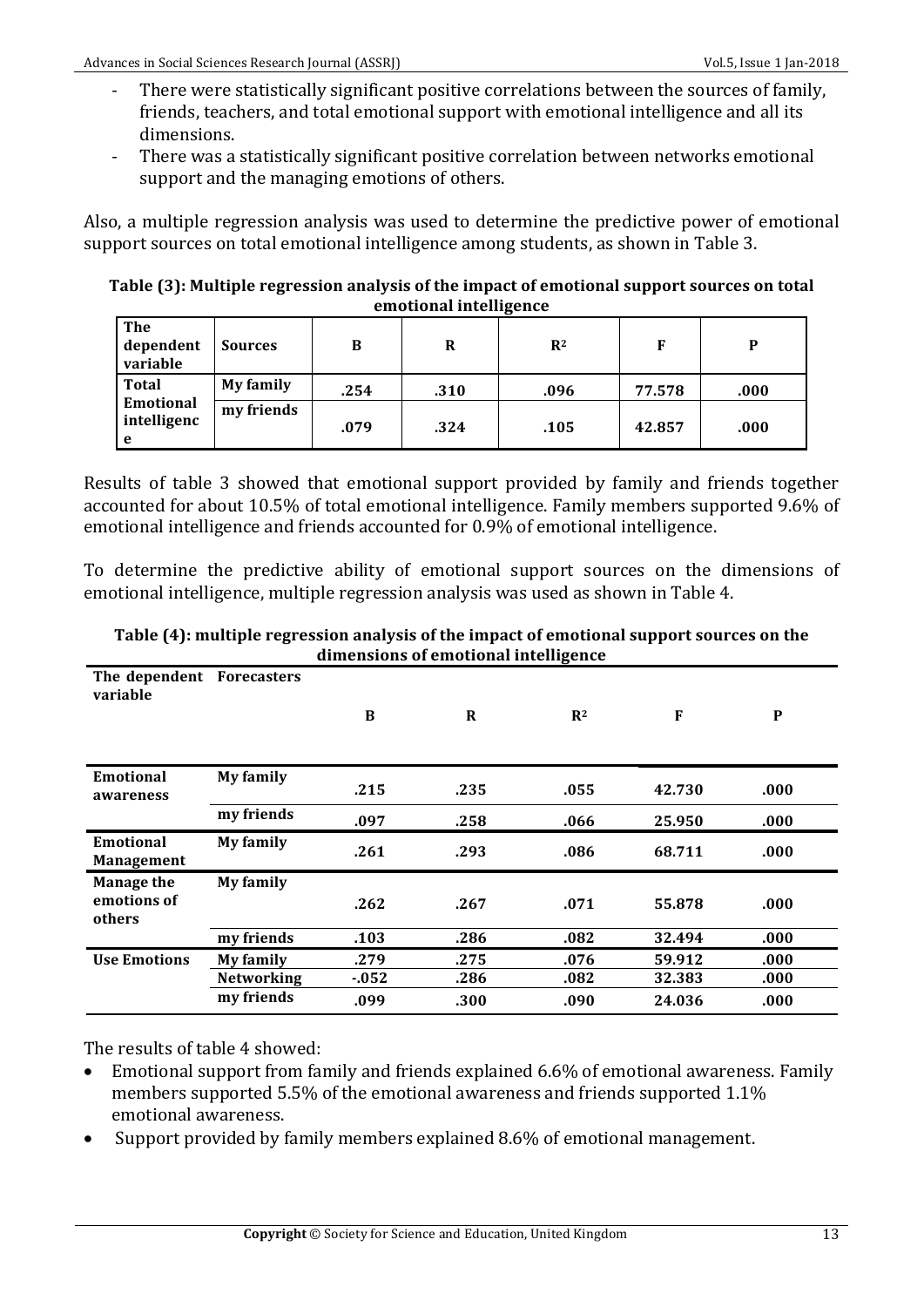- There were statistically significant positive correlations between the sources of family, friends, teachers, and total emotional support with emotional intelligence and all its dimensions.
- There was a statistically significant positive correlation between networks emotional support and the managing emotions of others.

Also, a multiple regression analysis was used to determine the predictive power of emotional support sources on total emotional intelligence among students, as shown in Table 3.

Table (3): Multiple regression analysis of the impact of emotional support sources on total **emotional intelligence** 

| <b>The</b><br>dependent<br>variable           | <b>Sources</b> | в    | R    | $R^2$ | F      | D    |
|-----------------------------------------------|----------------|------|------|-------|--------|------|
| Total<br><b>Emotional</b><br>intelligenc<br>e | My family      | .254 | .310 | .096  | 77.578 | .000 |
|                                               | my friends     | .079 | .324 | .105  | 42.857 | .000 |

Results of table 3 showed that emotional support provided by family and friends together accounted for about 10.5% of total emotional intelligence. Family members supported 9.6% of emotional intelligence and friends accounted for 0.9% of emotional intelligence.

To determine the predictive ability of emotional support sources on the dimensions of emotional intelligence, multiple regression analysis was used as shown in Table 4.

| unnensions of emotional intemgence    |                   |        |      |       |        |              |
|---------------------------------------|-------------------|--------|------|-------|--------|--------------|
| The dependent Forecasters<br>variable |                   |        |      |       |        |              |
|                                       |                   | B      | R    | $R^2$ | F      | $\mathbf{P}$ |
|                                       |                   |        |      |       |        |              |
| <b>Emotional</b><br>awareness         | My family         | .215   | .235 | .055  | 42.730 | .000         |
|                                       | my friends        | .097   | .258 | .066  | 25.950 | .000         |
| Emotional<br>Management               | My family         | .261   | .293 | .086  | 68.711 | .000         |
| <b>Manage the</b>                     | My family         |        |      |       |        |              |
| emotions of<br>others                 |                   | .262   | .267 | .071  | 55.878 | .000         |
|                                       | my friends        | .103   | .286 | .082  | 32.494 | .000         |
| <b>Use Emotions</b>                   | My family         | .279   | .275 | .076  | 59.912 | .000.        |
|                                       | <b>Networking</b> | $-052$ | .286 | .082  | 32.383 | .000         |
|                                       | my friends        | .099   | .300 | .090  | 24.036 | .000.        |

**Table (4): multiple regression analysis of the impact of emotional support sources on the** dimensions of emotional intelligence

The results of table 4 showed:

- Emotional support from family and friends explained 6.6% of emotional awareness. Family members supported 5.5% of the emotional awareness and friends supported 1.1% emotional awareness.
- Support provided by family members explained 8.6% of emotional management.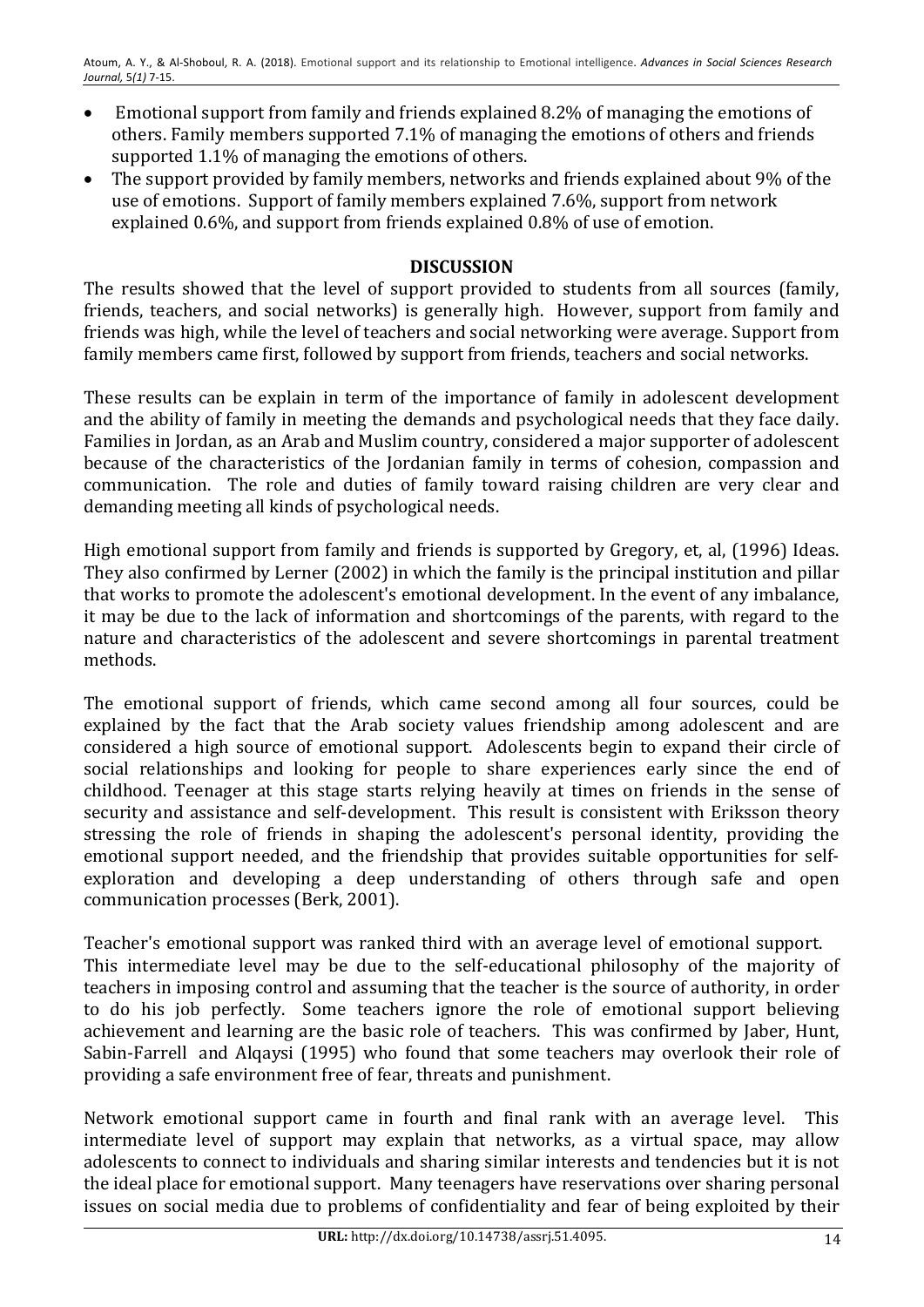- Emotional support from family and friends explained 8.2% of managing the emotions of others. Family members supported 7.1% of managing the emotions of others and friends supported 1.1% of managing the emotions of others.
- The support provided by family members, networks and friends explained about 9% of the use of emotions. Support of family members explained 7.6%, support from network explained 0.6%, and support from friends explained 0.8% of use of emotion.

# **DISCUSSION**

The results showed that the level of support provided to students from all sources (family, friends, teachers, and social networks) is generally high. However, support from family and friends was high, while the level of teachers and social networking were average. Support from family members came first, followed by support from friends, teachers and social networks.

These results can be explain in term of the importance of family in adolescent development and the ability of family in meeting the demands and psychological needs that they face daily. Families in Jordan, as an Arab and Muslim country, considered a major supporter of adolescent because of the characteristics of the Jordanian family in terms of cohesion, compassion and communication. The role and duties of family toward raising children are very clear and demanding meeting all kinds of psychological needs.

High emotional support from family and friends is supported by Gregory, et, al, (1996) Ideas. They also confirmed by Lerner (2002) in which the family is the principal institution and pillar that works to promote the adolescent's emotional development. In the event of any imbalance, it may be due to the lack of information and shortcomings of the parents, with regard to the nature and characteristics of the adolescent and severe shortcomings in parental treatment methods. 

The emotional support of friends, which came second among all four sources, could be explained by the fact that the Arab society values friendship among adolescent and are considered a high source of emotional support. Adolescents begin to expand their circle of social relationships and looking for people to share experiences early since the end of childhood. Teenager at this stage starts relying heavily at times on friends in the sense of security and assistance and self-development. This result is consistent with Eriksson theory stressing the role of friends in shaping the adolescent's personal identity, providing the emotional support needed, and the friendship that provides suitable opportunities for selfexploration and developing a deep understanding of others through safe and open communication processes (Berk, 2001).

Teacher's emotional support was ranked third with an average level of emotional support. This intermediate level may be due to the self-educational philosophy of the majority of teachers in imposing control and assuming that the teacher is the source of authority, in order to do his job perfectly. Some teachers ignore the role of emotional support believing achievement and learning are the basic role of teachers. This was confirmed by Jaber, Hunt, Sabin-Farrell and Alqaysi (1995) who found that some teachers may overlook their role of providing a safe environment free of fear, threats and punishment.

Network emotional support came in fourth and final rank with an average level. This intermediate level of support may explain that networks, as a virtual space, may allow adolescents to connect to individuals and sharing similar interests and tendencies but it is not the ideal place for emotional support. Many teenagers have reservations over sharing personal issues on social media due to problems of confidentiality and fear of being exploited by their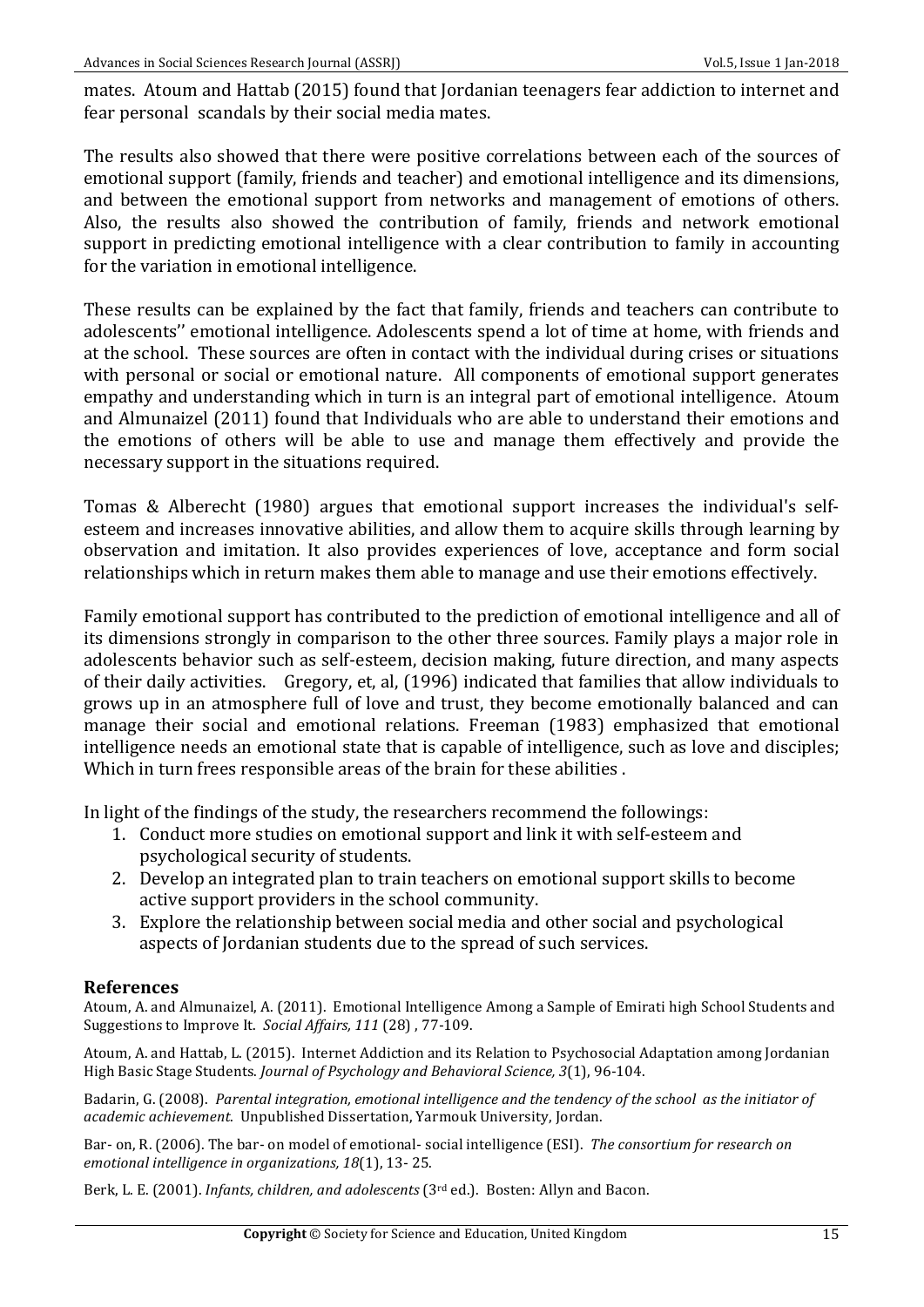mates. Atoum and Hattab (2015) found that Jordanian teenagers fear addiction to internet and fear personal scandals by their social media mates.

The results also showed that there were positive correlations between each of the sources of emotional support (family, friends and teacher) and emotional intelligence and its dimensions, and between the emotional support from networks and management of emotions of others. Also, the results also showed the contribution of family, friends and network emotional support in predicting emotional intelligence with a clear contribution to family in accounting for the variation in emotional intelligence.

These results can be explained by the fact that family, friends and teachers can contribute to adolescents" emotional intelligence. Adolescents spend a lot of time at home, with friends and at the school. These sources are often in contact with the individual during crises or situations with personal or social or emotional nature. All components of emotional support generates empathy and understanding which in turn is an integral part of emotional intelligence. Atoum and Almunaizel (2011) found that Individuals who are able to understand their emotions and the emotions of others will be able to use and manage them effectively and provide the necessary support in the situations required.

Tomas & Alberecht (1980) argues that emotional support increases the individual's selfesteem and increases innovative abilities, and allow them to acquire skills through learning by observation and imitation. It also provides experiences of love, acceptance and form social relationships which in return makes them able to manage and use their emotions effectively.

Family emotional support has contributed to the prediction of emotional intelligence and all of its dimensions strongly in comparison to the other three sources. Family plays a major role in adolescents behavior such as self-esteem, decision making, future direction, and many aspects of their daily activities. Gregory, et, al, (1996) indicated that families that allow individuals to grows up in an atmosphere full of love and trust, they become emotionally balanced and can manage their social and emotional relations. Freeman (1983) emphasized that emotional intelligence needs an emotional state that is capable of intelligence, such as love and disciples; Which in turn frees responsible areas of the brain for these abilities.

In light of the findings of the study, the researchers recommend the followings:

- 1. Conduct more studies on emotional support and link it with self-esteem and psychological security of students.
- 2. Develop an integrated plan to train teachers on emotional support skills to become active support providers in the school community.
- 3. Explore the relationship between social media and other social and psychological aspects of Jordanian students due to the spread of such services.

#### **References**

Atoum, A. and Almunaizel, A. (2011). Emotional Intelligence Among a Sample of Emirati high School Students and Suggestions to Improve It. Social Affairs, 111 (28), 77-109.

Atoum, A. and Hattab, L. (2015). Internet Addiction and its Relation to Psychosocial Adaptation among Jordanian High Basic Stage Students. *Journal of Psychology and Behavioral Science*, 3(1), 96-104.

Badarin, G. (2008). Parental integration, emotional intelligence and the tendency of the school as the initiator of *academic achievement*. Unpublished Dissertation, Yarmouk University, Jordan. 

Bar- on, R. (2006). The bar- on model of emotional- social intelligence (ESI). The consortium for research on *emotional intelligence in organizations, 18*(1), 13-25.

Berk, L. E. (2001). *Infants, children, and adolescents* (3<sup>rd</sup> ed.). Bosten: Allyn and Bacon.